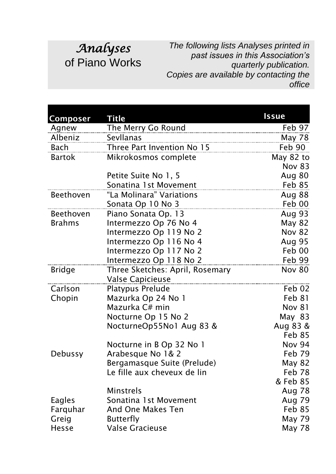## *Analyses*  of Piano Works

*The following lists Analyses printed in past issues in this Association's quarterly publication. Copies are available by contacting the office*

| <b>Composer</b>  | <b>Title</b>                    | <b>Issue</b>  |
|------------------|---------------------------------|---------------|
| Agnew            | The Merry Go Round              | Feb 97        |
| Albeniz          | Sevllanas                       | May 78        |
| Bach             | Three Part Invention No 15      | Feb 90        |
| <b>Bartok</b>    | Mikrokosmos complete            | May 82 to     |
|                  |                                 | <b>Nov 83</b> |
|                  | Petite Suite No 1, 5            | Aug 80        |
|                  | Sonatina 1st Movement           | <b>Feb 85</b> |
| <b>Beethoven</b> | "La Molinara" Variations        | Aug 88        |
|                  | Sonata Op 10 No 3               | Feb 00        |
| <b>Beethoven</b> | Piano Sonata Op. 13             | <b>Aug 93</b> |
| <b>Brahms</b>    | Intermezzo Op 76 No 4           | <b>May 82</b> |
|                  | Intermezzo Op 119 No 2          | <b>Nov 82</b> |
|                  | Intermezzo Op 116 No 4          | Aug 95        |
|                  | Intermezzo Op 117 No 2          | Feb 00        |
|                  | Intermezzo Op 118 No 2          | Feb 99        |
| <b>Bridge</b>    | Three Sketches: April, Rosemary | <b>Nov 80</b> |
|                  | <b>Valse Capicieuse</b>         |               |
| Carlson          | Platypus Prelude                | Feb 02        |
| Chopin           | Mazurka Op 24 No 1              | Feb 81        |
|                  | Mazurka C# min                  | <b>Nov 81</b> |
|                  | Nocturne Op 15 No 2             | May 83        |
|                  | NocturneOp55No1 Aug 83 &        | Aug 83 &      |
|                  |                                 | Feb 85        |
|                  | Nocturne in B Op 32 No 1        | <b>Nov 94</b> |
| Debussy          | Arabesque No 1& 2               | Feb 79        |
|                  | Bergamasque Suite (Prelude)     | May 82        |
|                  | Le fille aux cheveux de lin     | Feb 78        |
|                  |                                 | & Feb 85      |
|                  | <b>Minstrels</b>                | Aug 78        |
| Eagles           | Sonatina 1st Movement           | Aug 79        |
| Farquhar         | And One Makes Ten               | Feb 85        |
| Greig            | <b>Butterfly</b>                | May 79        |
| <b>Hesse</b>     | <b>Valse Gracieuse</b>          | <b>May 78</b> |